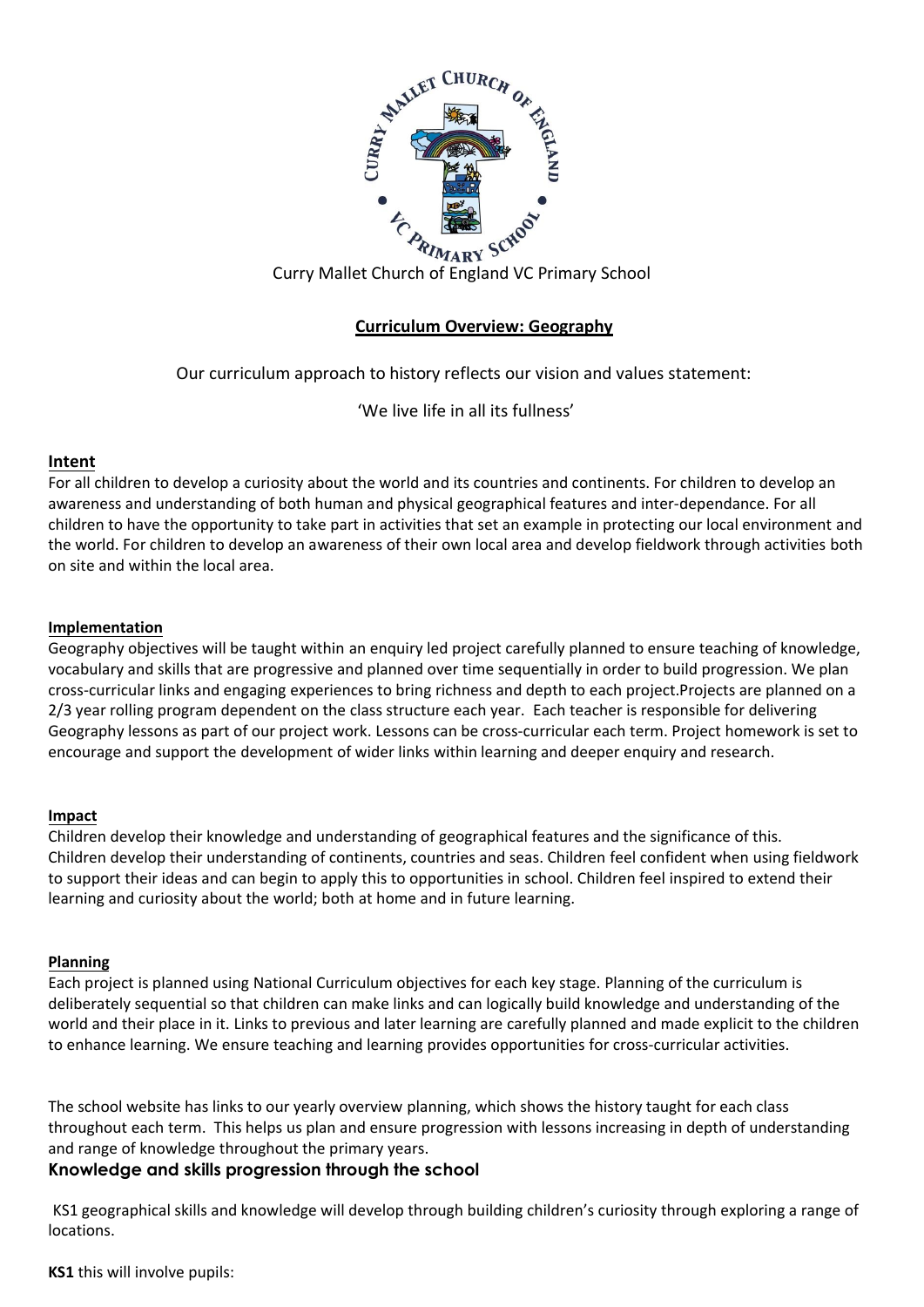

# **Curriculum Overview: Geography**

Our curriculum approach to history reflects our vision and values statement:

'We live life in all its fullness'

# **Intent**

For all children to develop a curiosity about the world and its countries and continents. For children to develop an awareness and understanding of both human and physical geographical features and inter-dependance. For all children to have the opportunity to take part in activities that set an example in protecting our local environment and the world. For children to develop an awareness of their own local area and develop fieldwork through activities both on site and within the local area.

# **Implementation**

Geography objectives will be taught within an enquiry led project carefully planned to ensure teaching of knowledge, vocabulary and skills that are progressive and planned over time sequentially in order to build progression. We plan cross-curricular links and engaging experiences to bring richness and depth to each project. Projects are planned on a 2/3 year rolling program dependent on the class structure each year. Each teacher is responsible for delivering Geography lessons as part of our project work. Lessons can be cross-curricular each term. Project homework is set to encourage and support the development of wider links within learning and deeper enquiry and research.

### **Impact**

Children develop their knowledge and understanding of geographical features and the significance of this. Children develop their understanding of continents, countries and seas. Children feel confident when using fieldwork to support their ideas and can begin to apply this to opportunities in school. Children feel inspired to extend their learning and curiosity about the world; both at home and in future learning.

### **Planning**

Each project is planned using National Curriculum objectives for each key stage. Planning of the curriculum is deliberately sequential so that children can make links and can logically build knowledge and understanding of the world and their place in it. Links to previous and later learning are carefully planned and made explicit to the children to enhance learning. We ensure teaching and learning provides opportunities for cross-curricular activities.

The school website has links to our yearly overview planning, which shows the history taught for each class throughout each term. This helps us plan and ensure progression with lessons increasing in depth of understanding and range of knowledge throughout the primary years.

# **Knowledge and skills progression through the school**

KS1 geographical skills and knowledge will develop through building children's curiosity through exploring a range of locations.

### **KS1** this will involve pupils: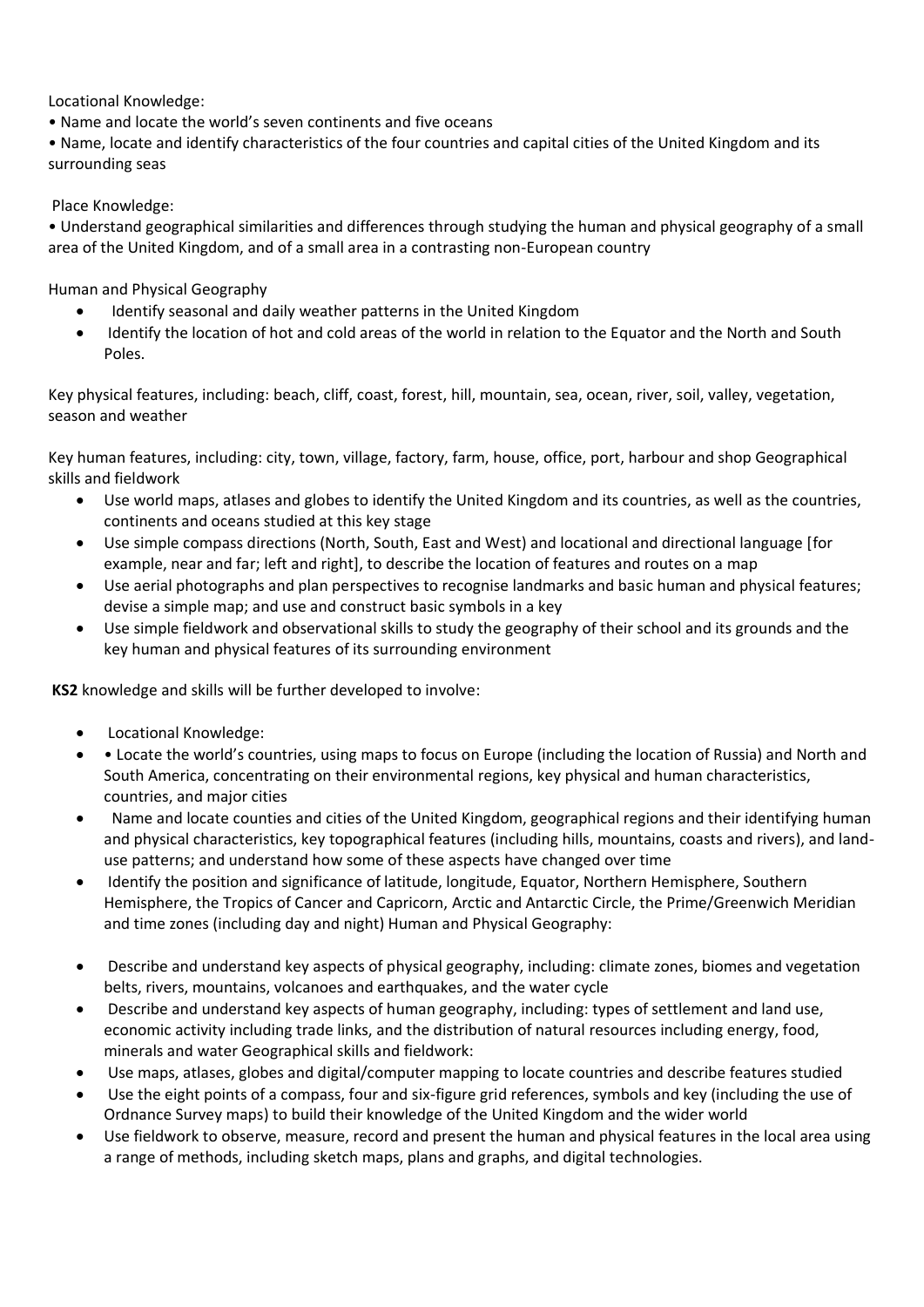Locational Knowledge:

• Name and locate the world's seven continents and five oceans

• Name, locate and identify characteristics of the four countries and capital cities of the United Kingdom and its surrounding seas

Place Knowledge:

• Understand geographical similarities and differences through studying the human and physical geography of a small area of the United Kingdom, and of a small area in a contrasting non-European country

Human and Physical Geography

- Identify seasonal and daily weather patterns in the United Kingdom
- Identify the location of hot and cold areas of the world in relation to the Equator and the North and South Poles.

Key physical features, including: beach, cliff, coast, forest, hill, mountain, sea, ocean, river, soil, valley, vegetation, season and weather

Key human features, including: city, town, village, factory, farm, house, office, port, harbour and shop Geographical skills and fieldwork

- Use world maps, atlases and globes to identify the United Kingdom and its countries, as well as the countries, continents and oceans studied at this key stage
- Use simple compass directions (North, South, East and West) and locational and directional language [for example, near and far; left and right], to describe the location of features and routes on a map
- Use aerial photographs and plan perspectives to recognise landmarks and basic human and physical features; devise a simple map; and use and construct basic symbols in a key
- Use simple fieldwork and observational skills to study the geography of their school and its grounds and the key human and physical features of its surrounding environment

**KS2** knowledge and skills will be further developed to involve:

- Locational Knowledge:
- • Locate the world's countries, using maps to focus on Europe (including the location of Russia) and North and South America, concentrating on their environmental regions, key physical and human characteristics, countries, and major cities
- Name and locate counties and cities of the United Kingdom, geographical regions and their identifying human and physical characteristics, key topographical features (including hills, mountains, coasts and rivers), and landuse patterns; and understand how some of these aspects have changed over time
- Identify the position and significance of latitude, longitude, Equator, Northern Hemisphere, Southern Hemisphere, the Tropics of Cancer and Capricorn, Arctic and Antarctic Circle, the Prime/Greenwich Meridian and time zones (including day and night) Human and Physical Geography:
- Describe and understand key aspects of physical geography, including: climate zones, biomes and vegetation belts, rivers, mountains, volcanoes and earthquakes, and the water cycle
- Describe and understand key aspects of human geography, including: types of settlement and land use, economic activity including trade links, and the distribution of natural resources including energy, food, minerals and water Geographical skills and fieldwork:
- Use maps, atlases, globes and digital/computer mapping to locate countries and describe features studied
- Use the eight points of a compass, four and six-figure grid references, symbols and key (including the use of Ordnance Survey maps) to build their knowledge of the United Kingdom and the wider world
- Use fieldwork to observe, measure, record and present the human and physical features in the local area using a range of methods, including sketch maps, plans and graphs, and digital technologies.